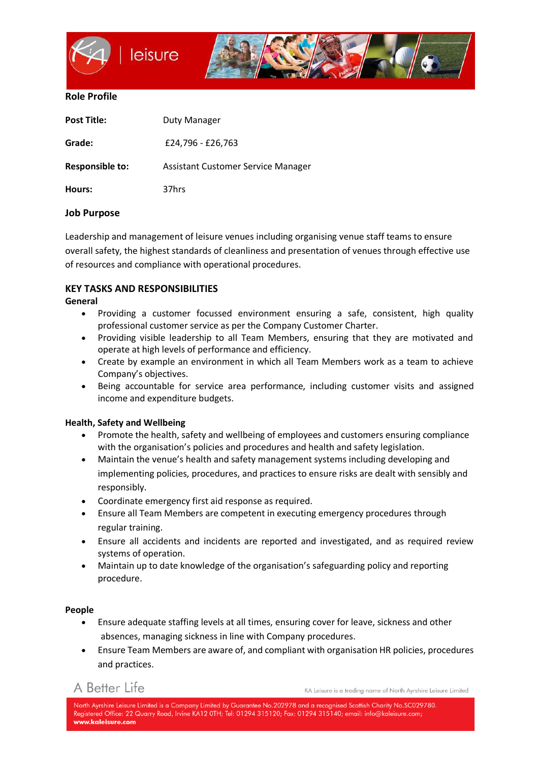

#### **Role Profile**

| <b>Post Title:</b> | Duty Manager                       |
|--------------------|------------------------------------|
| Grade:             | £24,796 - £26,763                  |
| Responsible to:    | Assistant Customer Service Manager |
| Hours:             | 37hrs                              |

### **Job Purpose**

Leadership and management of leisure venues including organising venue staff teams to ensure overall safety, the highest standards of cleanliness and presentation of venues through effective use of resources and compliance with operational procedures.

## **KEY TASKS AND RESPONSIBILITIES**

#### **General**

- Providing a customer focussed environment ensuring a safe, consistent, high quality professional customer service as per the Company Customer Charter.
- Providing visible leadership to all Team Members, ensuring that they are motivated and operate at high levels of performance and efficiency.
- Create by example an environment in which all Team Members work as a team to achieve Company's objectives.
- Being accountable for service area performance, including customer visits and assigned income and expenditure budgets.

#### **Health, Safety and Wellbeing**

- Promote the health, safety and wellbeing of employees and customers ensuring compliance with the organisation's policies and procedures and health and safety legislation.
- Maintain the venue's health and safety management systems including developing and implementing policies, procedures, and practices to ensure risks are dealt with sensibly and responsibly.
- Coordinate emergency first aid response as required.
- Ensure all Team Members are competent in executing emergency procedures through regular training.
- Ensure all accidents and incidents are reported and investigated, and as required review systems of operation.
- Maintain up to date knowledge of the organisation's safeguarding policy and reporting procedure.

#### **People**

- Ensure adequate staffing levels at all times, ensuring cover for leave, sickness and other absences, managing sickness in line with Company procedures.
- Ensure Team Members are aware of, and compliant with organisation HR policies, procedures and practices.

A Better Life

KA Leisure is a trading name of North Ayrshire Leisure Limited

North Avrshire Leisure Limited is a Company Limited by Guarantee No.202978 and a recoanised Scottish Charity No.SC029780. Registered Office: 22 Quarry Road, Irvine KA12 0TH; Tel: 01294 315120; Fax: 01294 315140; email: info@kaleisure.com; www.kaleisure.com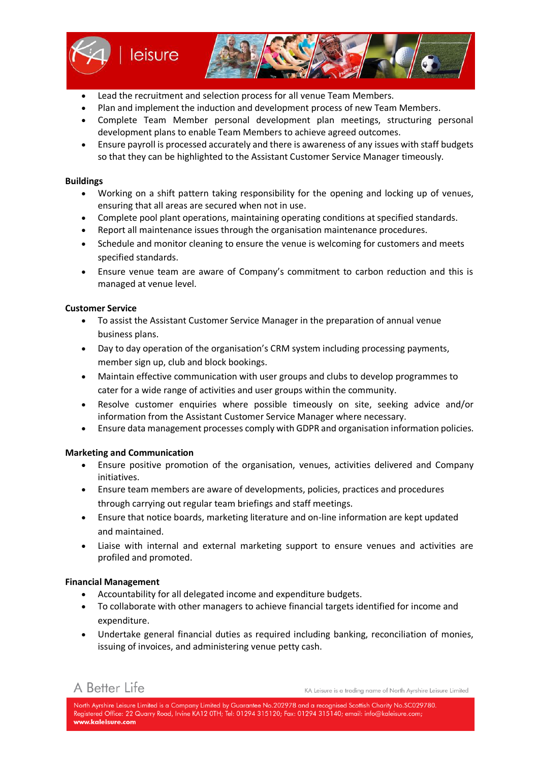

- Lead the recruitment and selection process for all venue Team Members.
- Plan and implement the induction and development process of new Team Members.
- Complete Team Member personal development plan meetings, structuring personal development plans to enable Team Members to achieve agreed outcomes.
- Ensure payroll is processed accurately and there is awareness of any issues with staff budgets so that they can be highlighted to the Assistant Customer Service Manager timeously.

#### **Buildings**

- Working on a shift pattern taking responsibility for the opening and locking up of venues, ensuring that all areas are secured when not in use.
- Complete pool plant operations, maintaining operating conditions at specified standards.
- Report all maintenance issues through the organisation maintenance procedures.
- Schedule and monitor cleaning to ensure the venue is welcoming for customers and meets specified standards.
- Ensure venue team are aware of Company's commitment to carbon reduction and this is managed at venue level.

#### **Customer Service**

- To assist the Assistant Customer Service Manager in the preparation of annual venue business plans.
- Day to day operation of the organisation's CRM system including processing payments, member sign up, club and block bookings.
- Maintain effective communication with user groups and clubs to develop programmes to cater for a wide range of activities and user groups within the community.
- Resolve customer enquiries where possible timeously on site, seeking advice and/or information from the Assistant Customer Service Manager where necessary.
- Ensure data management processes comply with GDPR and organisation information policies.

#### **Marketing and Communication**

- Ensure positive promotion of the organisation, venues, activities delivered and Company initiatives.
- Ensure team members are aware of developments, policies, practices and procedures through carrying out regular team briefings and staff meetings.
- Ensure that notice boards, marketing literature and on-line information are kept updated and maintained.
- Liaise with internal and external marketing support to ensure venues and activities are profiled and promoted.

#### **Financial Management**

- Accountability for all delegated income and expenditure budgets.
- To collaborate with other managers to achieve financial targets identified for income and expenditure.
- Undertake general financial duties as required including banking, reconciliation of monies, issuing of invoices, and administering venue petty cash.

# A Better Life

KA Leisure is a trading name of North Ayrshire Leisure Limited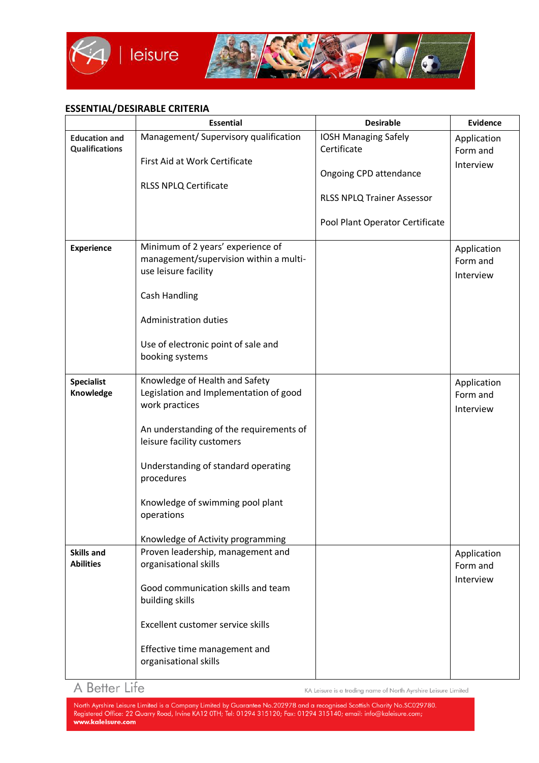

### **ESSENTIAL/DESIRABLE CRITERIA**

|                                               | <b>Essential</b>                                                                                                                                                                                                                                                                                                | <b>Desirable</b>                                                                                                                             | <b>Evidence</b>                      |
|-----------------------------------------------|-----------------------------------------------------------------------------------------------------------------------------------------------------------------------------------------------------------------------------------------------------------------------------------------------------------------|----------------------------------------------------------------------------------------------------------------------------------------------|--------------------------------------|
| <b>Education and</b><br><b>Qualifications</b> | Management/ Supervisory qualification<br>First Aid at Work Certificate<br><b>RLSS NPLQ Certificate</b>                                                                                                                                                                                                          | <b>IOSH Managing Safely</b><br>Certificate<br>Ongoing CPD attendance<br><b>RLSS NPLQ Trainer Assessor</b><br>Pool Plant Operator Certificate | Application<br>Form and<br>Interview |
| <b>Experience</b>                             | Minimum of 2 years' experience of<br>management/supervision within a multi-<br>use leisure facility<br>Cash Handling<br><b>Administration duties</b><br>Use of electronic point of sale and<br>booking systems                                                                                                  |                                                                                                                                              | Application<br>Form and<br>Interview |
| <b>Specialist</b><br>Knowledge                | Knowledge of Health and Safety<br>Legislation and Implementation of good<br>work practices<br>An understanding of the requirements of<br>leisure facility customers<br>Understanding of standard operating<br>procedures<br>Knowledge of swimming pool plant<br>operations<br>Knowledge of Activity programming |                                                                                                                                              | Application<br>Form and<br>Interview |
| <b>Skills and</b><br><b>Abilities</b>         | Proven leadership, management and<br>organisational skills<br>Good communication skills and team<br>building skills<br>Excellent customer service skills<br>Effective time management and<br>organisational skills                                                                                              |                                                                                                                                              | Application<br>Form and<br>Interview |

# A Better Life

KA Leisure is a trading name of North Ayrshire Leisure Limited

North Ayrshire Leisure Limited is a Company Limited by Guarantee No.202978 and a recognised Scottish Charity No.SC029780.<br>Registered Office: 22 Quarry Road, Irvine KA12 0TH; Tel: 01294 315120; Fax: 01294 315140; email: inf